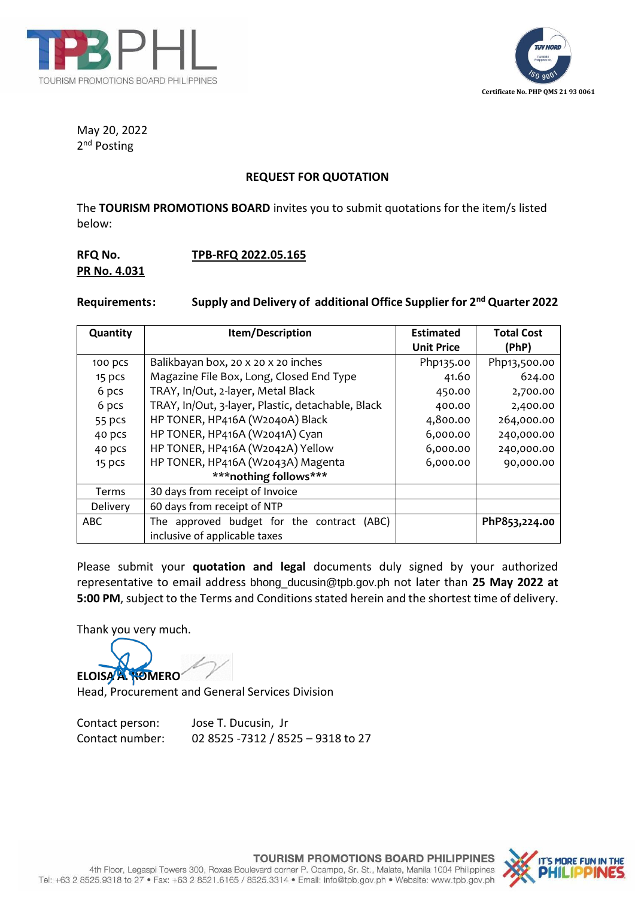



May 20, 2022 2<sup>nd</sup> Posting

## **REQUEST FOR QUOTATION**

The **TOURISM PROMOTIONS BOARD** invites you to submit quotations for the item/s listed below:

## **RFQ No. TPB-RFQ 2022.05.165 PR No. 4.031**

**Requirements: Supply and Delivery of additional Office Supplier for 2nd Quarter 2022**

| Quantity     | Item/Description                                  | <b>Estimated</b><br><b>Unit Price</b> | <b>Total Cost</b><br>(PhP) |
|--------------|---------------------------------------------------|---------------------------------------|----------------------------|
| 100 pcs      | Balikbayan box, 20 x 20 x 20 inches               | Php135.00                             | Php13,500.00               |
| 15 pcs       | Magazine File Box, Long, Closed End Type          | 41.60                                 | 624.00                     |
| 6 pcs        | TRAY, In/Out, 2-layer, Metal Black                | 450.00                                | 2,700.00                   |
| 6 pcs        | TRAY, In/Out, 3-layer, Plastic, detachable, Black | 400.00                                | 2,400.00                   |
| 55 pcs       | HP TONER, HP416A (W2040A) Black                   | 4,800.00                              | 264,000.00                 |
| 40 pcs       | HP TONER, HP416A (W2041A) Cyan                    | 6,000.00                              | 240,000.00                 |
| 40 pcs       | HP TONER, HP416A (W2042A) Yellow                  | 6,000.00                              | 240,000.00                 |
| 15 pcs       | HP TONER, HP416A (W2043A) Magenta                 | 6,000.00                              | 90,000.00                  |
|              | ***nothing follows***                             |                                       |                            |
| <b>Terms</b> | 30 days from receipt of Invoice                   |                                       |                            |
| Delivery     | 60 days from receipt of NTP                       |                                       |                            |
| <b>ABC</b>   | approved budget for the contract<br>The<br>(ABC)  |                                       | PhP853,224.00              |
|              | inclusive of applicable taxes                     |                                       |                            |

Please submit your **quotation and legal** documents duly signed by your authorized representative to email address bhong\_ducusin@tpb.gov.ph not later than **25 May 2022 at 5:00 PM**, subject to the Terms and Conditions stated herein and the shortest time of delivery.

Thank you very much.

**ELOISA A. ROMERO**

Head, Procurement and General Services Division

Contact person: Jose T. Ducusin, Jr Contact number: 02 8525 -7312 / 8525 – 9318 to 27